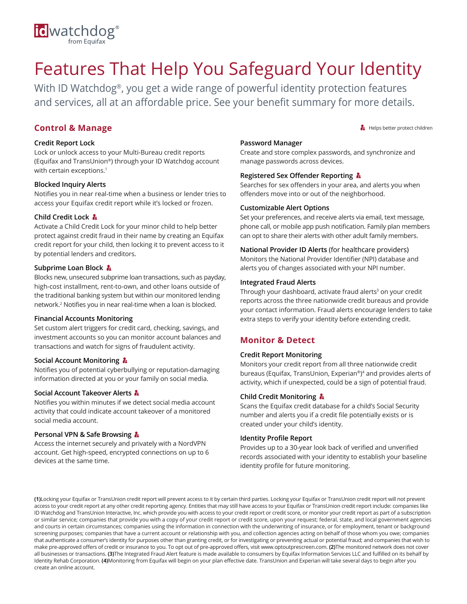

# Features That Help You Safeguard Your Identity

With ID Watchdog®, you get a wide range of powerful identity protection features and services, all at an affordable price. See your benefit summary for more details.

# **Control & Manage**

#### **Credit Report Lock**

Lock or unlock access to your Multi-Bureau credit reports (Equifax and TransUnion®) through your ID Watchdog account with certain exceptions.<sup>1</sup>

#### **Blocked Inquiry Alerts**

Notifies you in near real-time when a business or lender tries to access your Equifax credit report while it's locked or frozen.

#### **Child Credit Lock**

Activate a Child Credit Lock for your minor child to help better protect against credit fraud in their name by creating an Equifax credit report for your child, then locking it to prevent access to it by potential lenders and creditors.

#### **Subprime Loan Block**

Blocks new, unsecured subprime loan transactions, such as payday, high-cost installment, rent-to-own, and other loans outside of the traditional banking system but within our monitored lending network.<sup>2</sup> Notifies you in near real-time when a loan is blocked.

#### **Financial Accounts Monitoring**

Set custom alert triggers for credit card, checking, savings, and investment accounts so you can monitor account balances and transactions and watch for signs of fraudulent activity.

#### **Social Account Monitoring &**

Notifies you of potential cyberbullying or reputation-damaging information directed at you or your family on social media.

#### **Social Account Takeover Alerts**

Notifies you within minutes if we detect social media account activity that could indicate account takeover of a monitored social media account.

#### **Personal VPN & Safe Browsing**

Access the internet securely and privately with a NordVPN account. Get high-speed, encrypted connections on up to 6 devices at the same time.

#### **Password Manager**

Create and store complex passwords, and synchronize and manage passwords across devices.

#### **Registered Sex Offender Reporting**

Searches for sex offenders in your area, and alerts you when offenders move into or out of the neighborhood.

#### **Customizable Alert Options**

Set your preferences, and receive alerts via email, text message, phone call, or mobile app push notification. Family plan members can opt to share their alerts with other adult family members.

#### **National Provider ID Alerts** (for healthcare providers) Monitors the National Provider Identifier (NPI) database and alerts you of changes associated with your NPI number.

#### **Integrated Fraud Alerts**

Through your dashboard, activate fraud alerts<sup>3</sup> on your credit reports across the three nationwide credit bureaus and provide your contact information. Fraud alerts encourage lenders to take extra steps to verify your identity before extending credit.

## **Monitor & Detect**

#### **Credit Report Monitoring**

Monitors your credit report from all three nationwide credit bureaus (Equifax, TransUnion, Experian®) <sup>4</sup> and provides alerts of activity, which if unexpected, could be a sign of potential fraud.

#### **Child Credit Monitoring**

Scans the Equifax credit database for a child's Social Security number and alerts you if a credit file potentially exists or is created under your child's identity.

#### **Identity Profile Report**

Provides up to a 30-year look back of verified and unverified records associated with your identity to establish your baseline identity profile for future monitoring.

**(1)**Locking your Equifax or TransUnion credit report will prevent access to it by certain third parties. Locking your Equifax or TransUnion credit report will not prevent access to your credit report at any other credit reporting agency. Entities that may still have access to your Equifax or TransUnion credit report include: companies like ID Watchdog and TransUnion Interactive, Inc. which provide you with access to your credit report or credit score, or monitor your credit report as part of a subscription or similar service; companies that provide you with a copy of your credit report or credit score, upon your request; federal, state, and local government agencies and courts in certain circumstances; companies using the information in connection with the underwriting of insurance, or for employment, tenant or background screening purposes; companies that have a current account or relationship with you, and collection agencies acting on behalf of those whom you owe; companies that authenticate a consumer's identity for purposes other than granting credit, or for investigating or preventing actual or potential fraud; and companies that wish to make pre-approved offers of credit or insurance to you. To opt out of pre-approved offers, visit www.optoutprescreen.com. **(2)**The monitored network does not cover all businesses or transactions. **(3)**The Integrated Fraud Alert feature is made available to consumers by Equifax Information Services LLC and fulfilled on its behalf by Identity Rehab Corporation. **(4)**Monitoring from Equifax will begin on your plan effective date. TransUnion and Experian will take several days to begin after you create an online account.

Helps better protect children